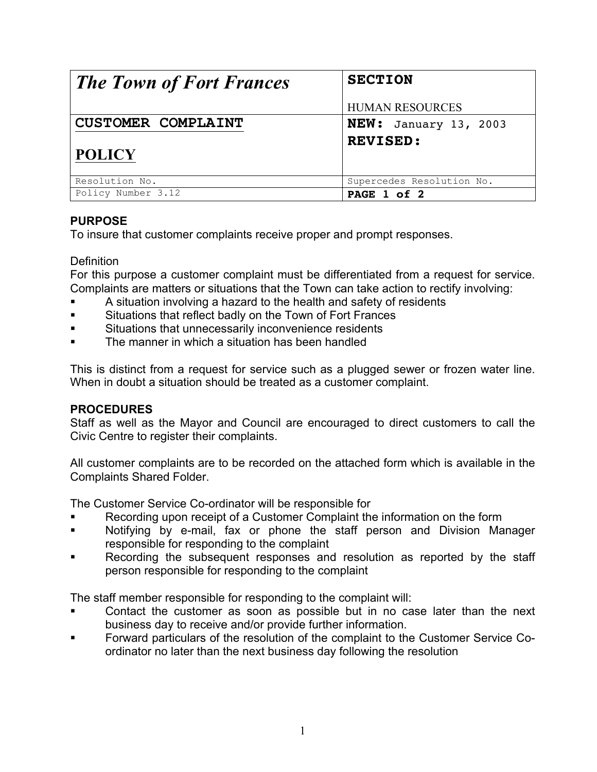| <b>The Town of Fort Frances</b> | <b>SECTION</b>               |
|---------------------------------|------------------------------|
|                                 | <b>HUMAN RESOURCES</b>       |
| <b>CUSTOMER COMPLAINT</b>       | <b>NEW:</b> January 13, 2003 |
| <b>POLICY</b>                   | <b>REVISED:</b>              |
| Resolution No.                  | Supercedes Resolution No.    |
| Policy Number 3.12              | PAGE 1 of 2                  |

## **PURPOSE**

To insure that customer complaints receive proper and prompt responses.

**Definition** 

For this purpose a customer complaint must be differentiated from a request for service. Complaints are matters or situations that the Town can take action to rectify involving:

- A situation involving a hazard to the health and safety of residents
- ! Situations that reflect badly on the Town of Fort Frances
- Situations that unnecessarily inconvenience residents
- The manner in which a situation has been handled

This is distinct from a request for service such as a plugged sewer or frozen water line. When in doubt a situation should be treated as a customer complaint.

## **PROCEDURES**

Staff as well as the Mayor and Council are encouraged to direct customers to call the Civic Centre to register their complaints.

All customer complaints are to be recorded on the attached form which is available in the Complaints Shared Folder.

The Customer Service Co-ordinator will be responsible for

- Recording upon receipt of a Customer Complaint the information on the form
- Notifying by e-mail, fax or phone the staff person and Division Manager responsible for responding to the complaint
- Recording the subsequent responses and resolution as reported by the staff person responsible for responding to the complaint

The staff member responsible for responding to the complaint will:

- Contact the customer as soon as possible but in no case later than the next business day to receive and/or provide further information.
- ! Forward particulars of the resolution of the complaint to the Customer Service Coordinator no later than the next business day following the resolution